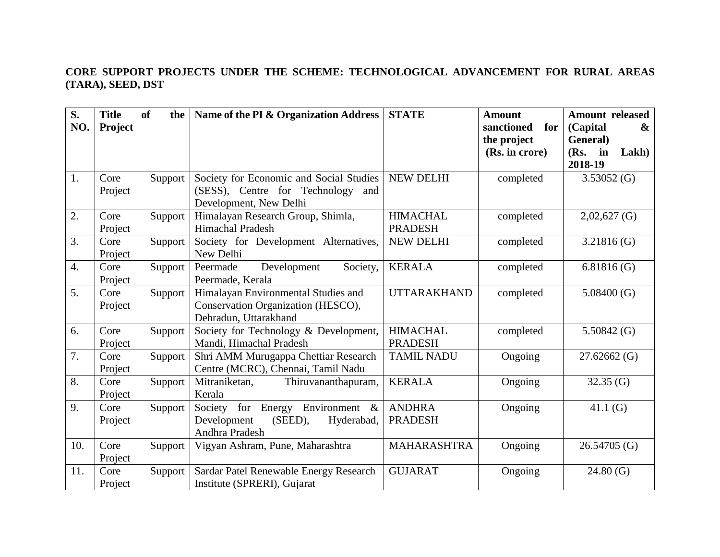## **CORE SUPPORT PROJECTS UNDER THE SCHEME: TECHNOLOGICAL ADVANCEMENT FOR RURAL AREAS (TARA), SEED, DST**

| S.<br>NO.        | <b>Title</b><br>Project | of<br>the | Name of the PI & Organization Address                                                                     | <b>STATE</b>                      | <b>Amount</b><br>sanctioned<br>for<br>the project<br>(Rs. in crore) | <b>Amount released</b><br>(Capital<br>$\boldsymbol{\&}$<br>General)<br>(Rs.<br>Lakh)<br>in |
|------------------|-------------------------|-----------|-----------------------------------------------------------------------------------------------------------|-----------------------------------|---------------------------------------------------------------------|--------------------------------------------------------------------------------------------|
| 1.               | Core<br>Project         | Support   | Society for Economic and Social Studies<br>(SESS), Centre for Technology<br>and<br>Development, New Delhi | <b>NEW DELHI</b>                  | completed                                                           | 2018-19<br>3.53052(G)                                                                      |
| 2.               | Core<br>Project         | Support   | Himalayan Research Group, Shimla,<br>Himachal Pradesh                                                     | <b>HIMACHAL</b><br><b>PRADESH</b> | completed                                                           | $2,02,627$ (G)                                                                             |
| 3.               | Core<br>Project         | Support   | Society for Development Alternatives,<br>New Delhi                                                        | <b>NEW DELHI</b>                  | completed                                                           | $3.21816$ (G)                                                                              |
| $\overline{4}$ . | Core<br>Project         | Support   | Society,<br>Development<br>Peermade<br>Peermade, Kerala                                                   | <b>KERALA</b>                     | completed                                                           | 6.81816(G)                                                                                 |
| 5.               | Core<br>Project         | Support   | Himalayan Environmental Studies and<br>Conservation Organization (HESCO),<br>Dehradun, Uttarakhand        | <b>UTTARAKHAND</b>                | completed                                                           | 5.08400(G)                                                                                 |
| 6.               | Core<br>Project         | Support   | Society for Technology & Development,<br>Mandi, Himachal Pradesh                                          | <b>HIMACHAL</b><br><b>PRADESH</b> | completed                                                           | 5.50842 $(G)$                                                                              |
| 7.               | Core<br>Project         | Support   | Shri AMM Murugappa Chettiar Research<br>Centre (MCRC), Chennai, Tamil Nadu                                | <b>TAMIL NADU</b>                 | Ongoing                                                             | $27.62662$ (G)                                                                             |
| 8.               | Core<br>Project         | Support   | Mitraniketan,<br>Thiruvananthapuram,<br>Kerala                                                            | <b>KERALA</b>                     | Ongoing                                                             | 32.35(G)                                                                                   |
| 9.               | Core<br>Project         | Support   | Society for Energy Environment &<br>(SEED),<br>Development<br>Hyderabad,<br>Andhra Pradesh                | <b>ANDHRA</b><br><b>PRADESH</b>   | Ongoing                                                             | 41.1 $(G)$                                                                                 |
| 10.              | Core<br>Project         | Support   | Vigyan Ashram, Pune, Maharashtra                                                                          | <b>MAHARASHTRA</b>                | Ongoing                                                             | 26.54705 (G)                                                                               |
| 11.              | Core<br>Project         | Support   | Sardar Patel Renewable Energy Research<br>Institute (SPRERI), Gujarat                                     | <b>GUJARAT</b>                    | Ongoing                                                             | 24.80(G)                                                                                   |